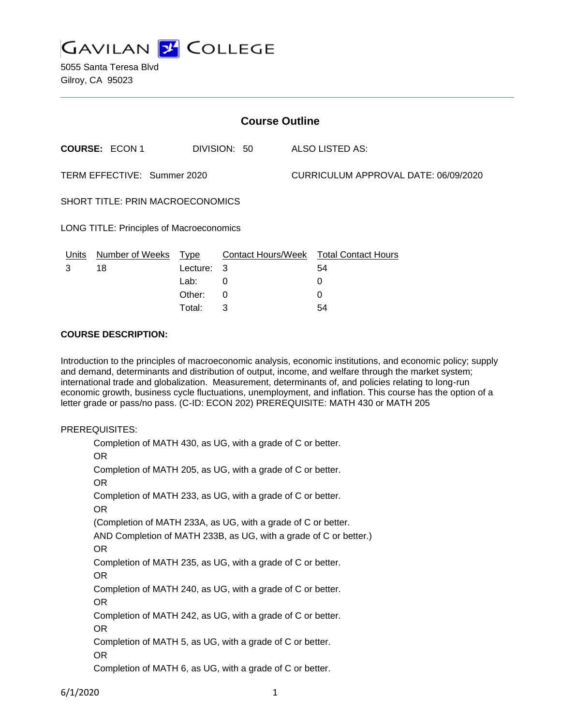

| <b>Course Outline</b>                           |                       |            |              |                                      |                                        |
|-------------------------------------------------|-----------------------|------------|--------------|--------------------------------------|----------------------------------------|
|                                                 | <b>COURSE: ECON 1</b> |            | DIVISION: 50 |                                      | ALSO LISTED AS:                        |
| TERM EFFECTIVE: Summer 2020                     |                       |            |              | CURRICULUM APPROVAL DATE: 06/09/2020 |                                        |
| <b>SHORT TITLE: PRIN MACROECONOMICS</b>         |                       |            |              |                                      |                                        |
| <b>LONG TITLE: Principles of Macroeconomics</b> |                       |            |              |                                      |                                        |
| Units                                           | Number of Weeks       | Type       |              |                                      | Contact Hours/Week Total Contact Hours |
| 3                                               | 18                    | Lecture: 3 |              |                                      | 54                                     |
|                                                 |                       | Lab:       | 0            |                                      | 0                                      |
|                                                 |                       | Other:     | 0            |                                      | 0                                      |

Total: 3 54

### **COURSE DESCRIPTION:**

Introduction to the principles of macroeconomic analysis, economic institutions, and economic policy; supply and demand, determinants and distribution of output, income, and welfare through the market system; international trade and globalization. Measurement, determinants of, and policies relating to long-run economic growth, business cycle fluctuations, unemployment, and inflation. This course has the option of a letter grade or pass/no pass. (C-ID: ECON 202) PREREQUISITE: MATH 430 or MATH 205

#### PREREQUISITES:

Completion of MATH 430, as UG, with a grade of C or better. OR Completion of MATH 205, as UG, with a grade of C or better. OR Completion of MATH 233, as UG, with a grade of C or better. OR (Completion of MATH 233A, as UG, with a grade of C or better. AND Completion of MATH 233B, as UG, with a grade of C or better.) OR Completion of MATH 235, as UG, with a grade of C or better. OR Completion of MATH 240, as UG, with a grade of C or better. OR Completion of MATH 242, as UG, with a grade of C or better. OR Completion of MATH 5, as UG, with a grade of C or better. OR Completion of MATH 6, as UG, with a grade of C or better.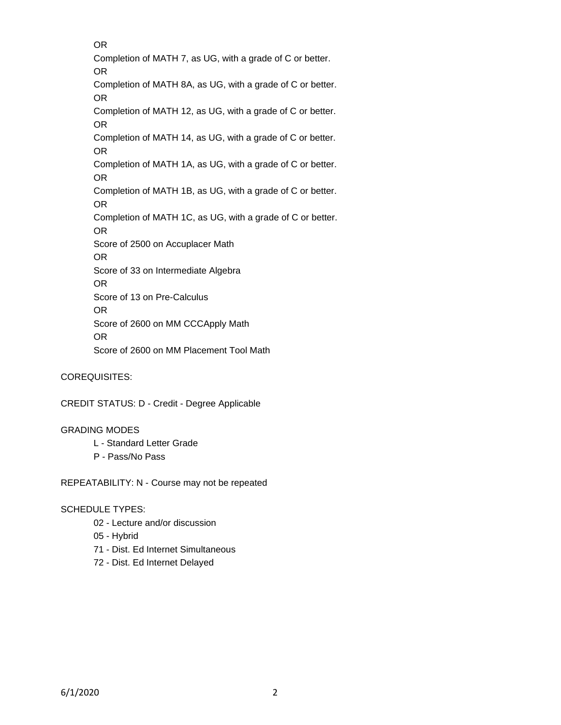OR Completion of MATH 7, as UG, with a grade of C or better. OR Completion of MATH 8A, as UG, with a grade of C or better. OR Completion of MATH 12, as UG, with a grade of C or better. OR Completion of MATH 14, as UG, with a grade of C or better. OR Completion of MATH 1A, as UG, with a grade of C or better. OR Completion of MATH 1B, as UG, with a grade of C or better. OR Completion of MATH 1C, as UG, with a grade of C or better. OR Score of 2500 on Accuplacer Math OR Score of 33 on Intermediate Algebra OR Score of 13 on Pre-Calculus OR Score of 2600 on MM CCCApply Math OR Score of 2600 on MM Placement Tool Math

COREQUISITES:

CREDIT STATUS: D - Credit - Degree Applicable

#### GRADING MODES

- L Standard Letter Grade
- P Pass/No Pass

REPEATABILITY: N - Course may not be repeated

### SCHEDULE TYPES:

- 02 Lecture and/or discussion
- 05 Hybrid
- 71 Dist. Ed Internet Simultaneous
- 72 Dist. Ed Internet Delayed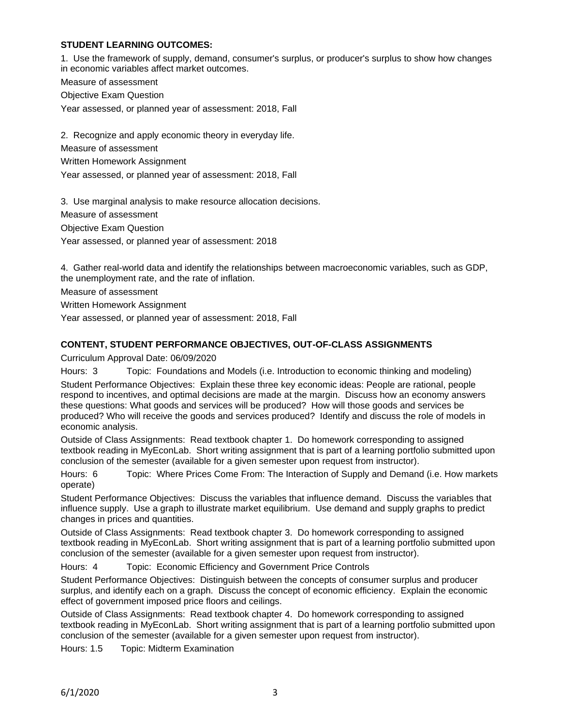# **STUDENT LEARNING OUTCOMES:**

1. Use the framework of supply, demand, consumer's surplus, or producer's surplus to show how changes in economic variables affect market outcomes.

Measure of assessment

Objective Exam Question

Year assessed, or planned year of assessment: 2018, Fall

2. Recognize and apply economic theory in everyday life. Measure of assessment Written Homework Assignment Year assessed, or planned year of assessment: 2018, Fall

3. Use marginal analysis to make resource allocation decisions. Measure of assessment Objective Exam Question Year assessed, or planned year of assessment: 2018

4. Gather real-world data and identify the relationships between macroeconomic variables, such as GDP, the unemployment rate, and the rate of inflation.

Measure of assessment

Written Homework Assignment

Year assessed, or planned year of assessment: 2018, Fall

# **CONTENT, STUDENT PERFORMANCE OBJECTIVES, OUT-OF-CLASS ASSIGNMENTS**

Curriculum Approval Date: 06/09/2020

Hours: 3 Topic: Foundations and Models (i.e. Introduction to economic thinking and modeling)

Student Performance Objectives: Explain these three key economic ideas: People are rational, people respond to incentives, and optimal decisions are made at the margin. Discuss how an economy answers these questions: What goods and services will be produced? How will those goods and services be produced? Who will receive the goods and services produced? Identify and discuss the role of models in economic analysis.

Outside of Class Assignments: Read textbook chapter 1. Do homework corresponding to assigned textbook reading in MyEconLab. Short writing assignment that is part of a learning portfolio submitted upon conclusion of the semester (available for a given semester upon request from instructor).

Hours: 6 Topic: Where Prices Come From: The Interaction of Supply and Demand (i.e. How markets operate)

Student Performance Objectives: Discuss the variables that influence demand. Discuss the variables that influence supply. Use a graph to illustrate market equilibrium. Use demand and supply graphs to predict changes in prices and quantities.

Outside of Class Assignments: Read textbook chapter 3. Do homework corresponding to assigned textbook reading in MyEconLab. Short writing assignment that is part of a learning portfolio submitted upon conclusion of the semester (available for a given semester upon request from instructor).

Hours: 4 Topic: Economic Efficiency and Government Price Controls

Student Performance Objectives: Distinguish between the concepts of consumer surplus and producer surplus, and identify each on a graph. Discuss the concept of economic efficiency. Explain the economic effect of government imposed price floors and ceilings.

Outside of Class Assignments: Read textbook chapter 4. Do homework corresponding to assigned textbook reading in MyEconLab. Short writing assignment that is part of a learning portfolio submitted upon conclusion of the semester (available for a given semester upon request from instructor).

Hours: 1.5 Topic: Midterm Examination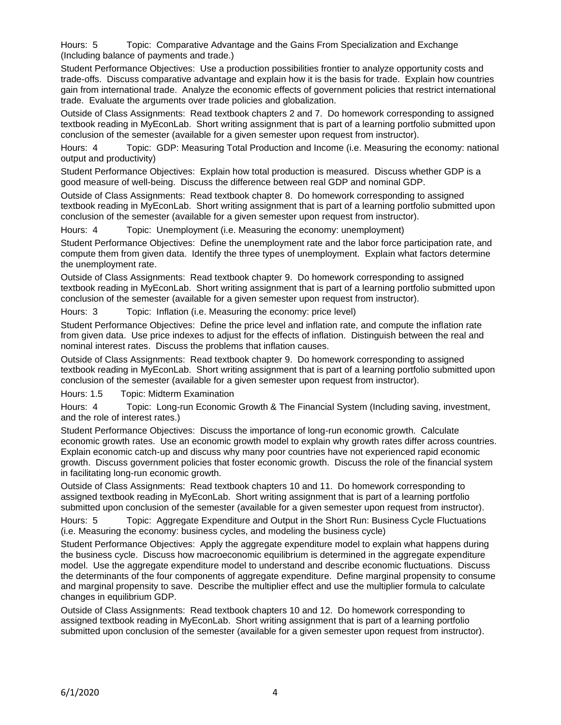Hours: 5 Topic: Comparative Advantage and the Gains From Specialization and Exchange (Including balance of payments and trade.)

Student Performance Objectives: Use a production possibilities frontier to analyze opportunity costs and trade-offs. Discuss comparative advantage and explain how it is the basis for trade. Explain how countries gain from international trade. Analyze the economic effects of government policies that restrict international trade. Evaluate the arguments over trade policies and globalization.

Outside of Class Assignments: Read textbook chapters 2 and 7. Do homework corresponding to assigned textbook reading in MyEconLab. Short writing assignment that is part of a learning portfolio submitted upon conclusion of the semester (available for a given semester upon request from instructor).

Hours: 4 Topic: GDP: Measuring Total Production and Income (i.e. Measuring the economy: national output and productivity)

Student Performance Objectives: Explain how total production is measured. Discuss whether GDP is a good measure of well-being. Discuss the difference between real GDP and nominal GDP.

Outside of Class Assignments: Read textbook chapter 8. Do homework corresponding to assigned textbook reading in MyEconLab. Short writing assignment that is part of a learning portfolio submitted upon conclusion of the semester (available for a given semester upon request from instructor).

Hours: 4 Topic: Unemployment (i.e. Measuring the economy: unemployment)

Student Performance Objectives: Define the unemployment rate and the labor force participation rate, and compute them from given data. Identify the three types of unemployment. Explain what factors determine the unemployment rate.

Outside of Class Assignments: Read textbook chapter 9. Do homework corresponding to assigned textbook reading in MyEconLab. Short writing assignment that is part of a learning portfolio submitted upon conclusion of the semester (available for a given semester upon request from instructor).

Hours: 3 Topic: Inflation (i.e. Measuring the economy: price level)

Student Performance Objectives: Define the price level and inflation rate, and compute the inflation rate from given data. Use price indexes to adjust for the effects of inflation. Distinguish between the real and nominal interest rates. Discuss the problems that inflation causes.

Outside of Class Assignments: Read textbook chapter 9. Do homework corresponding to assigned textbook reading in MyEconLab. Short writing assignment that is part of a learning portfolio submitted upon conclusion of the semester (available for a given semester upon request from instructor).

Hours: 1.5 Topic: Midterm Examination

Hours: 4 Topic: Long-run Economic Growth & The Financial System (Including saving, investment, and the role of interest rates.)

Student Performance Objectives: Discuss the importance of long-run economic growth. Calculate economic growth rates. Use an economic growth model to explain why growth rates differ across countries. Explain economic catch-up and discuss why many poor countries have not experienced rapid economic growth. Discuss government policies that foster economic growth. Discuss the role of the financial system in facilitating long-run economic growth.

Outside of Class Assignments: Read textbook chapters 10 and 11. Do homework corresponding to assigned textbook reading in MyEconLab. Short writing assignment that is part of a learning portfolio submitted upon conclusion of the semester (available for a given semester upon request from instructor).

Hours: 5 Topic: Aggregate Expenditure and Output in the Short Run: Business Cycle Fluctuations (i.e. Measuring the economy: business cycles, and modeling the business cycle)

Student Performance Objectives: Apply the aggregate expenditure model to explain what happens during the business cycle. Discuss how macroeconomic equilibrium is determined in the aggregate expenditure model. Use the aggregate expenditure model to understand and describe economic fluctuations. Discuss the determinants of the four components of aggregate expenditure. Define marginal propensity to consume and marginal propensity to save. Describe the multiplier effect and use the multiplier formula to calculate changes in equilibrium GDP.

Outside of Class Assignments: Read textbook chapters 10 and 12. Do homework corresponding to assigned textbook reading in MyEconLab. Short writing assignment that is part of a learning portfolio submitted upon conclusion of the semester (available for a given semester upon request from instructor).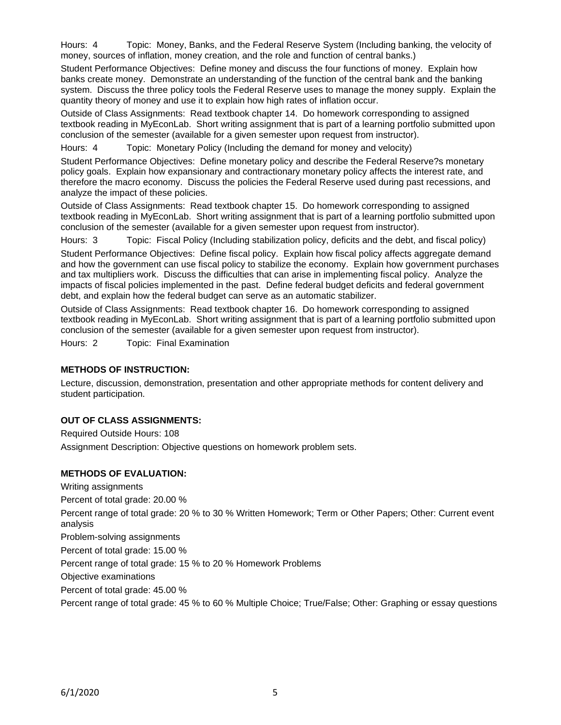Hours: 4 Topic: Money, Banks, and the Federal Reserve System (Including banking, the velocity of money, sources of inflation, money creation, and the role and function of central banks.)

Student Performance Objectives: Define money and discuss the four functions of money. Explain how banks create money. Demonstrate an understanding of the function of the central bank and the banking system. Discuss the three policy tools the Federal Reserve uses to manage the money supply. Explain the quantity theory of money and use it to explain how high rates of inflation occur.

Outside of Class Assignments: Read textbook chapter 14. Do homework corresponding to assigned textbook reading in MyEconLab. Short writing assignment that is part of a learning portfolio submitted upon conclusion of the semester (available for a given semester upon request from instructor).

Hours: 4 Topic: Monetary Policy (Including the demand for money and velocity)

Student Performance Objectives: Define monetary policy and describe the Federal Reserve?s monetary policy goals. Explain how expansionary and contractionary monetary policy affects the interest rate, and therefore the macro economy. Discuss the policies the Federal Reserve used during past recessions, and analyze the impact of these policies.

Outside of Class Assignments: Read textbook chapter 15. Do homework corresponding to assigned textbook reading in MyEconLab. Short writing assignment that is part of a learning portfolio submitted upon conclusion of the semester (available for a given semester upon request from instructor).

Hours: 3 Topic: Fiscal Policy (Including stabilization policy, deficits and the debt, and fiscal policy)

Student Performance Objectives: Define fiscal policy. Explain how fiscal policy affects aggregate demand and how the government can use fiscal policy to stabilize the economy. Explain how government purchases and tax multipliers work. Discuss the difficulties that can arise in implementing fiscal policy. Analyze the impacts of fiscal policies implemented in the past. Define federal budget deficits and federal government debt, and explain how the federal budget can serve as an automatic stabilizer.

Outside of Class Assignments: Read textbook chapter 16. Do homework corresponding to assigned textbook reading in MyEconLab. Short writing assignment that is part of a learning portfolio submitted upon conclusion of the semester (available for a given semester upon request from instructor).

Hours: 2 Topic: Final Examination

## **METHODS OF INSTRUCTION:**

Lecture, discussion, demonstration, presentation and other appropriate methods for content delivery and student participation.

## **OUT OF CLASS ASSIGNMENTS:**

Required Outside Hours: 108 Assignment Description: Objective questions on homework problem sets.

## **METHODS OF EVALUATION:**

Writing assignments

Percent of total grade: 20.00 %

Percent range of total grade: 20 % to 30 % Written Homework; Term or Other Papers; Other: Current event analysis

Problem-solving assignments

Percent of total grade: 15.00 %

Percent range of total grade: 15 % to 20 % Homework Problems

Objective examinations

Percent of total grade: 45.00 %

Percent range of total grade: 45 % to 60 % Multiple Choice; True/False; Other: Graphing or essay questions